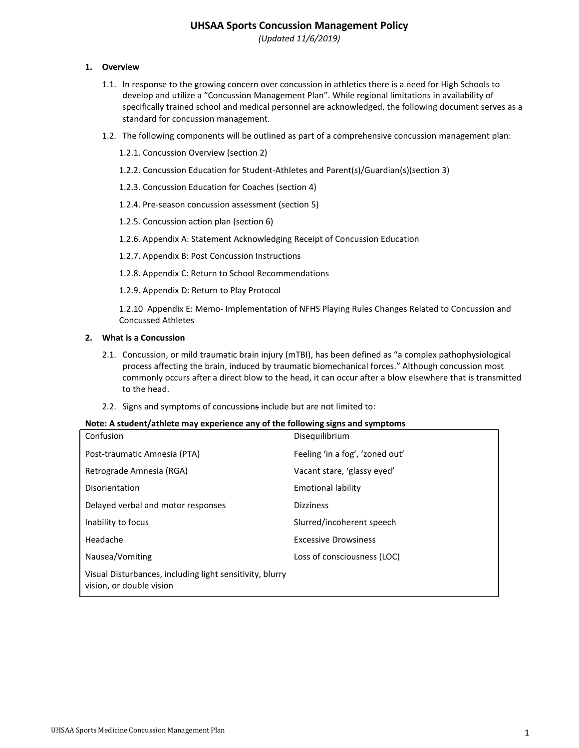*(Updated 11/6/2019)*

#### **1. Overview**

- 1.1. In response to the growing concern over concussion in athletics there is a need for High Schools to develop and utilize a "Concussion Management Plan". While regional limitations in availability of specifically trained school and medical personnel are acknowledged, the following document serves as a standard for concussion management.
- 1.2. The following components will be outlined as part of a comprehensive concussion management plan:
	- 1.2.1. Concussion Overview (section 2)
	- 1.2.2. Concussion Education for Student‐Athletes and Parent(s)/Guardian(s)(section 3)
	- 1.2.3. Concussion Education for Coaches (section 4)
	- 1.2.4. Pre‐season concussion assessment (section 5)
	- 1.2.5. Concussion action plan (section 6)
	- 1.2.6. Appendix A: Statement Acknowledging Receipt of Concussion Education
	- 1.2.7. Appendix B: Post Concussion Instructions
	- 1.2.8. Appendix C: Return to School Recommendations
	- 1.2.9. Appendix D: Return to Play Protocol

1.2.10 Appendix E: Memo- Implementation of NFHS Playing Rules Changes Related to Concussion and Concussed Athletes

#### **2. What is a Concussion**

- 2.1. Concussion, or mild traumatic brain injury (mTBI), has been defined as "a complex pathophysiological process affecting the brain, induced by traumatic biomechanical forces." Although concussion most commonly occurs after a direct blow to the head, it can occur after a blow elsewhere that is transmitted to the head.
- 2.2. Signs and symptoms of concussions include but are not limited to:

#### **Note: A student/athlete may experience any of the following signs and symptoms**

| Confusion                                                                            | Disequilibrium                  |
|--------------------------------------------------------------------------------------|---------------------------------|
| Post-traumatic Amnesia (PTA)                                                         | Feeling 'in a fog', 'zoned out' |
| Retrograde Amnesia (RGA)                                                             | Vacant stare, 'glassy eyed'     |
| Disorientation                                                                       | Emotional lability              |
| Delayed verbal and motor responses                                                   | <b>Dizziness</b>                |
| Inability to focus                                                                   | Slurred/incoherent speech       |
| Headache                                                                             | <b>Excessive Drowsiness</b>     |
| Nausea/Vomiting                                                                      | Loss of consciousness (LOC)     |
| Visual Disturbances, including light sensitivity, blurry<br>vision, or double vision |                                 |
|                                                                                      |                                 |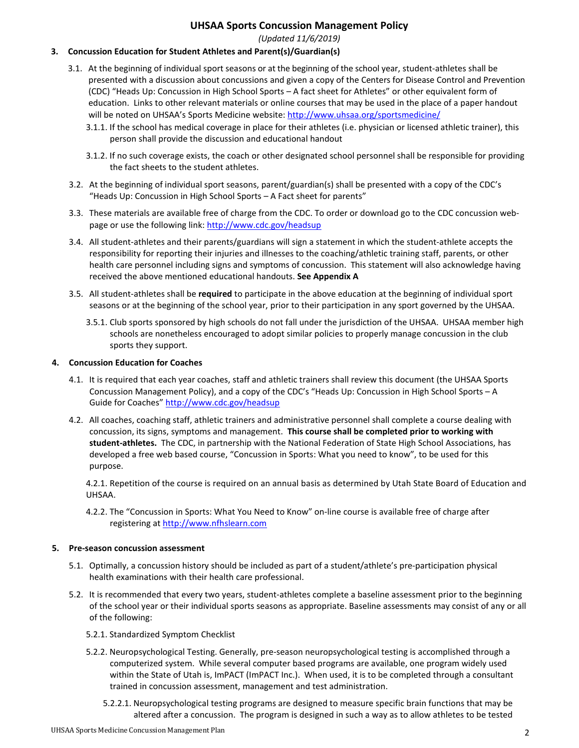*(Updated 11/6/2019)*

### **3. Concussion Education for Student Athletes and Parent(s)/Guardian(s)**

- 3.1. At the beginning of individual sport seasons or at the beginning of the school year, student‐athletes shall be presented with a discussion about concussions and given a copy of the Centers for Disease Control and Prevention (CDC) "Heads Up: Concussion in High School Sports – A fact sheet for Athletes" or other equivalent form of education. Links to other relevant materials or online courses that may be used in the place of a paper handout will be noted on UHSAA's Sports Medicine website:<http://www.uhsaa.org/sportsmedicine/>
	- 3.1.1. If the school has medical coverage in place for their athletes (i.e. physician or licensed athletic trainer), this person shall provide the discussion and educational handout
	- 3.1.2. If no such coverage exists, the coach or other designated school personnel shall be responsible for providing the fact sheets to the student athletes.
- 3.2. At the beginning of individual sport seasons, parent/guardian(s) shall be presented with a copy of the CDC's "Heads Up: Concussion in High School Sports – A Fact sheet for parents"
- 3.3. These materials are available free of charge from the CDC. To order or download go to the CDC concussion web‐ page or use the following link:<http://www.cdc.gov/headsup>
- 3.4. All student‐athletes and their parents/guardians will sign a statement in which the student‐athlete accepts the responsibility for reporting their injuries and illnesses to the coaching/athletic training staff, parents, or other health care personnel including signs and symptoms of concussion. This statement will also acknowledge having received the above mentioned educational handouts. **See Appendix A**
- 3.5. All student‐athletes shall be **required** to participate in the above education at the beginning of individual sport seasons or at the beginning of the school year, prior to their participation in any sport governed by the UHSAA.
	- 3.5.1. Club sports sponsored by high schools do not fall under the jurisdiction of the UHSAA. UHSAA member high schools are nonetheless encouraged to adopt similar policies to properly manage concussion in the club sports they support.

#### **4. Concussion Education for Coaches**

- 4.1. It is required that each year coaches, staff and athletic trainers shall review this document (the UHSAA Sports Concussion Management Policy), and a copy of the CDC's "Heads Up: Concussion in High School Sports – A Guide for Coaches" <http://www.cdc.gov/headsup>
- 4.2. All coaches, coaching staff, athletic trainers and administrative personnel shall complete a course dealing with concussion, its signs, symptoms and management. **This course shall be completed prior to working with student‐athletes.** The CDC, in partnership with the National Federation of State High School Associations, has developed a free web based course, "Concussion in Sports: What you need to know", to be used for this purpose.

4.2.1. Repetition of the course is required on an annual basis as determined by Utah State Board of Education and UHSAA.

4.2.2. The "Concussion in Sports: What You Need to Know" on-line course is available free of charge after registering at [http://www.nfhslearn.com](http://www.nfhslearn.com/)

#### **5. Pre‐season concussion assessment**

- 5.1. Optimally, a concussion history should be included as part of a student/athlete's pre-participation physical health examinations with their health care professional.
- 5.2. It is recommended that every two years, student‐athletes complete a baseline assessment prior to the beginning of the school year or their individual sports seasons as appropriate. Baseline assessments may consist of any or all of the following:
	- 5.2.1. Standardized Symptom Checklist
	- 5.2.2. Neuropsychological Testing. Generally, pre‐season neuropsychological testing is accomplished through a computerized system. While several computer based programs are available, one program widely used within the State of Utah is, ImPACT (ImPACT Inc.). When used, it is to be completed through a consultant trained in concussion assessment, management and test administration.
		- 5.2.2.1. Neuropsychological testing programs are designed to measure specific brain functions that may be altered after a concussion. The program is designed in such a way as to allow athletes to be tested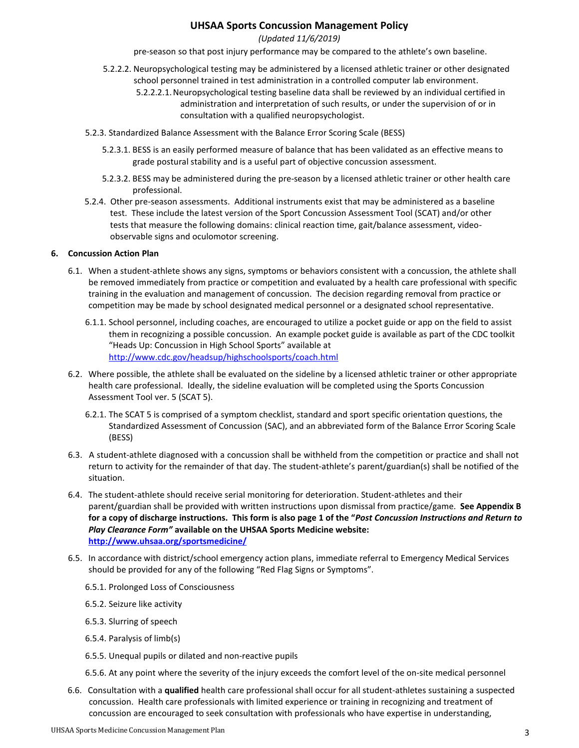#### *(Updated 11/6/2019)*

pre‐season so that post injury performance may be compared to the athlete's own baseline.

5.2.2.2. Neuropsychological testing may be administered by a licensed athletic trainer or other designated school personnel trained in test administration in a controlled computer lab environment.

5.2.2.2.1.Neuropsychological testing baseline data shall be reviewed by an individual certified in administration and interpretation of such results, or under the supervision of or in consultation with a qualified neuropsychologist.

- 5.2.3. Standardized Balance Assessment with the Balance Error Scoring Scale (BESS)
	- 5.2.3.1. BESS is an easily performed measure of balance that has been validated as an effective means to grade postural stability and is a useful part of objective concussion assessment.
	- 5.2.3.2. BESS may be administered during the pre‐season by a licensed athletic trainer or other health care professional.
- 5.2.4. Other pre-season assessments. Additional instruments exist that may be administered as a baseline test. These include the latest version of the Sport Concussion Assessment Tool (SCAT) and/or other tests that measure the following domains: clinical reaction time, gait/balance assessment, videoobservable signs and oculomotor screening.

#### **6. Concussion Action Plan**

- 6.1. When a student‐athlete shows any signs, symptoms or behaviors consistent with a concussion, the athlete shall be removed immediately from practice or competition and evaluated by a health care professional with specific training in the evaluation and management of concussion. The decision regarding removal from practice or competition may be made by school designated medical personnel or a designated school representative.
	- 6.1.1. School personnel, including coaches, are encouraged to utilize a pocket guide or app on the field to assist them in recognizing a possible concussion. An example pocket guide is available as part of the CDC toolkit "Heads Up: Concussion in High School Sports" available at <http://www.cdc.gov/headsup/highschoolsports/coach.html>
- 6.2. Where possible, the athlete shall be evaluated on the sideline by a licensed athletic trainer or other appropriate health care professional. Ideally, the sideline evaluation will be completed using the Sports Concussion Assessment Tool ver. 5 (SCAT 5).
	- 6.2.1. The SCAT 5 is comprised of a symptom checklist, standard and sport specific orientation questions, the Standardized Assessment of Concussion (SAC), and an abbreviated form of the Balance Error Scoring Scale (BESS)
- 6.3. A student‐athlete diagnosed with a concussion shall be withheld from the competition or practice and shall not return to activity for the remainder of that day. The student‐athlete's parent/guardian(s) shall be notified of the situation.
- 6.4. The student‐athlete should receive serial monitoring for deterioration. Student‐athletes and their parent/guardian shall be provided with written instructions upon dismissal from practice/game. **See Appendix B for a copy of discharge instructions. This form is also page 1 of the "***Post Concussion Instructions and Return to Play Clearance Form"* **available on the UHSAA Sports Medicine website: <http://www.uhsaa.org/sportsmedicine/>**
- 6.5. In accordance with district/school emergency action plans, immediate referral to Emergency Medical Services should be provided for any of the following "Red Flag Signs or Symptoms".
	- 6.5.1. Prolonged Loss of Consciousness
	- 6.5.2. Seizure like activity
	- 6.5.3. Slurring of speech
	- 6.5.4. Paralysis of limb(s)
	- 6.5.5. Unequal pupils or dilated and non‐reactive pupils
	- 6.5.6. At any point where the severity of the injury exceeds the comfort level of the on‐site medical personnel
- 6.6. Consultation with a **qualified** health care professional shall occur for all student‐athletes sustaining a suspected concussion. Health care professionals with limited experience or training in recognizing and treatment of concussion are encouraged to seek consultation with professionals who have expertise in understanding,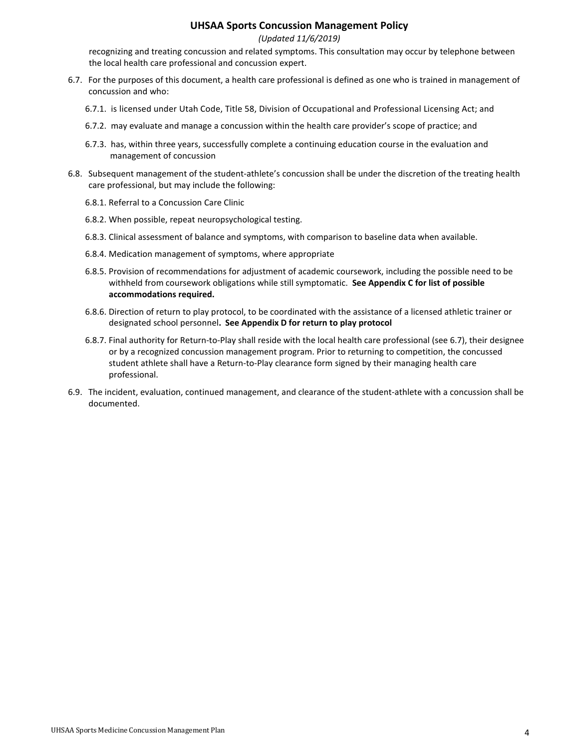#### *(Updated 11/6/2019)*

recognizing and treating concussion and related symptoms. This consultation may occur by telephone between the local health care professional and concussion expert.

- 6.7. For the purposes of this document, a health care professional is defined as one who is trained in management of concussion and who:
	- 6.7.1. is licensed under Utah Code, Title 58, Division of Occupational and Professional Licensing Act; and
	- 6.7.2. may evaluate and manage a concussion within the health care provider's scope of practice; and
	- 6.7.3. has, within three years, successfully complete a continuing education course in the evaluation and management of concussion
- 6.8. Subsequent management of the student‐athlete's concussion shall be under the discretion of the treating health care professional, but may include the following:
	- 6.8.1. Referral to a Concussion Care Clinic
	- 6.8.2. When possible, repeat neuropsychological testing.
	- 6.8.3. Clinical assessment of balance and symptoms, with comparison to baseline data when available.
	- 6.8.4. Medication management of symptoms, where appropriate
	- 6.8.5. Provision of recommendations for adjustment of academic coursework, including the possible need to be withheld from coursework obligations while still symptomatic. **See Appendix C for list of possible accommodations required.**
	- 6.8.6. Direction of return to play protocol, to be coordinated with the assistance of a licensed athletic trainer or designated school personnel**. See Appendix D for return to play protocol**
	- 6.8.7. Final authority for Return‐to‐Play shall reside with the local health care professional (see 6.7), their designee or by a recognized concussion management program. Prior to returning to competition, the concussed student athlete shall have a Return‐to‐Play clearance form signed by their managing health care professional.
- 6.9. The incident, evaluation, continued management, and clearance of the student‐athlete with a concussion shall be documented.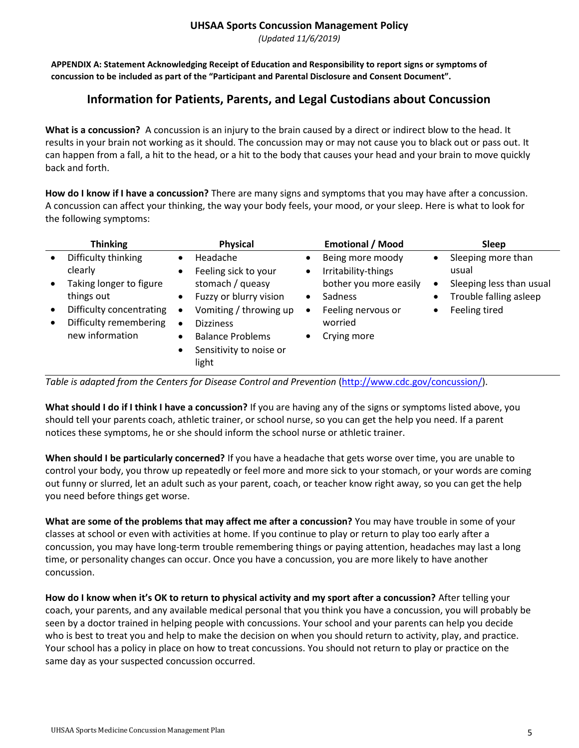*(Updated 11/6/2019)*

**APPENDIX A: Statement Acknowledging Receipt of Education and Responsibility to report signs or symptoms of concussion to be included as part of the "Participant and Parental Disclosure and Consent Document".**

# **Information for Patients, Parents, and Legal Custodians about Concussion**

**What is a concussion?** A concussion is an injury to the brain caused by a direct or indirect blow to the head. It results in your brain not working as it should. The concussion may or may not cause you to black out or pass out. It can happen from a fall, a hit to the head, or a hit to the body that causes your head and your brain to move quickly back and forth.

**How do I know if I have a concussion?** There are many signs and symptoms that you may have after a concussion. A concussion can affect your thinking, the way your body feels, your mood, or your sleep. Here is what to look for the following symptoms:

| Difficulty thinking<br>Being more moody<br>Headache                                                                                                                                                                                                                                                                                                                                                                                                                                                                                                                            | Sleeping more than                                                                        |
|--------------------------------------------------------------------------------------------------------------------------------------------------------------------------------------------------------------------------------------------------------------------------------------------------------------------------------------------------------------------------------------------------------------------------------------------------------------------------------------------------------------------------------------------------------------------------------|-------------------------------------------------------------------------------------------|
| clearly<br>Irritability-things<br>Feeling sick to your<br>$\bullet$<br>$\bullet$<br>Taking longer to figure<br>stomach / queasy<br>bother you more easily<br>$\bullet$<br>things out<br>Fuzzy or blurry vision<br><b>Sadness</b><br>$\bullet$<br>Difficulty concentrating<br>Vomiting / throwing up<br>Feeling nervous or<br>$\bullet$<br>$\bullet$<br>$\bullet$<br>Difficulty remembering<br>worried<br><b>Dizziness</b><br>$\bullet$<br>$\bullet$<br>new information<br>Crying more<br><b>Balance Problems</b><br>$\bullet$<br>Sensitivity to noise or<br>$\bullet$<br>light | usual<br>Sleeping less than usual<br>$\bullet$<br>Trouble falling asleep<br>Feeling tired |

*Table is adapted from the Centers for Disease Control and Prevention* [\(http://www.cdc.gov/concussion/\)](http://www.cdc.gov/concussion/).

**What should I do if I think I have a concussion?** If you are having any of the signs or symptoms listed above, you should tell your parents coach, athletic trainer, or school nurse, so you can get the help you need. If a parent notices these symptoms, he or she should inform the school nurse or athletic trainer.

**When should I be particularly concerned?** If you have a headache that gets worse over time, you are unable to control your body, you throw up repeatedly or feel more and more sick to your stomach, or your words are coming out funny or slurred, let an adult such as your parent, coach, or teacher know right away, so you can get the help you need before things get worse.

**What are some of the problems that may affect me after a concussion?** You may have trouble in some of your classes at school or even with activities at home. If you continue to play or return to play too early after a concussion, you may have long-term trouble remembering things or paying attention, headaches may last a long time, or personality changes can occur. Once you have a concussion, you are more likely to have another concussion.

**How do I know when it's OK to return to physical activity and my sport after a concussion?** After telling your coach, your parents, and any available medical personal that you think you have a concussion, you will probably be seen by a doctor trained in helping people with concussions. Your school and your parents can help you decide who is best to treat you and help to make the decision on when you should return to activity, play, and practice. Your school has a policy in place on how to treat concussions. You should not return to play or practice on the same day as your suspected concussion occurred.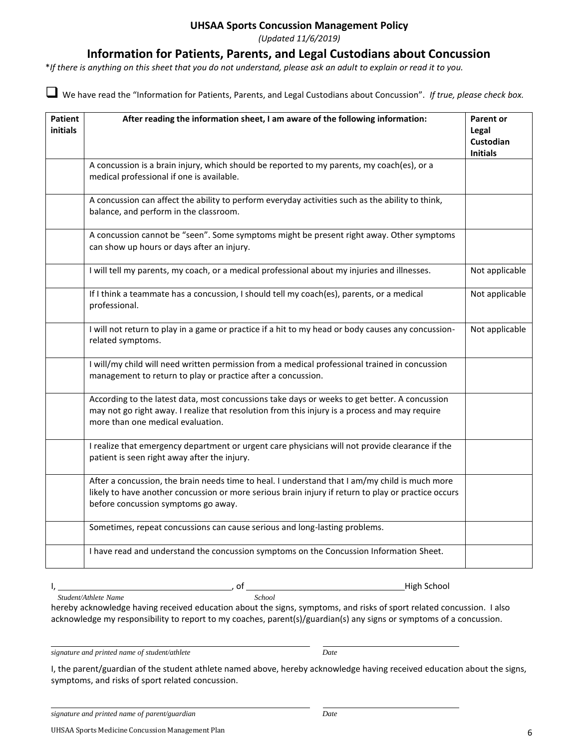*(Updated 11/6/2019)*

# **Information for Patients, Parents, and Legal Custodians about Concussion**

\**If there is anything on this sheet that you do not understand, please ask an adult to explain or read it to you.*

❑ We have read the "Information for Patients, Parents, and Legal Custodians about Concussion". *If true, please check box.*

| <b>Patient</b><br><b>initials</b> | After reading the information sheet, I am aware of the following information:                                                                                                                                                                | Parent or<br>Legal<br>Custodian<br><b>Initials</b> |
|-----------------------------------|----------------------------------------------------------------------------------------------------------------------------------------------------------------------------------------------------------------------------------------------|----------------------------------------------------|
|                                   | A concussion is a brain injury, which should be reported to my parents, my coach(es), or a<br>medical professional if one is available.                                                                                                      |                                                    |
|                                   | A concussion can affect the ability to perform everyday activities such as the ability to think,<br>balance, and perform in the classroom.                                                                                                   |                                                    |
|                                   | A concussion cannot be "seen". Some symptoms might be present right away. Other symptoms<br>can show up hours or days after an injury.                                                                                                       |                                                    |
|                                   | I will tell my parents, my coach, or a medical professional about my injuries and illnesses.                                                                                                                                                 | Not applicable                                     |
|                                   | If I think a teammate has a concussion, I should tell my coach(es), parents, or a medical<br>professional.                                                                                                                                   | Not applicable                                     |
|                                   | I will not return to play in a game or practice if a hit to my head or body causes any concussion-<br>related symptoms.                                                                                                                      | Not applicable                                     |
|                                   | I will/my child will need written permission from a medical professional trained in concussion<br>management to return to play or practice after a concussion.                                                                               |                                                    |
|                                   | According to the latest data, most concussions take days or weeks to get better. A concussion<br>may not go right away. I realize that resolution from this injury is a process and may require<br>more than one medical evaluation.         |                                                    |
|                                   | I realize that emergency department or urgent care physicians will not provide clearance if the<br>patient is seen right away after the injury.                                                                                              |                                                    |
|                                   | After a concussion, the brain needs time to heal. I understand that I am/my child is much more<br>likely to have another concussion or more serious brain injury if return to play or practice occurs<br>before concussion symptoms go away. |                                                    |
|                                   | Sometimes, repeat concussions can cause serious and long-lasting problems.                                                                                                                                                                   |                                                    |
|                                   | I have read and understand the concussion symptoms on the Concussion Information Sheet.                                                                                                                                                      |                                                    |

*Student/Athlete Name School*

I, , of High School

hereby acknowledge having received education about the signs, symptoms, and risks of sport related concussion. I also acknowledge my responsibility to report to my coaches, parent(s)/guardian(s) any signs or symptoms of a concussion.

*signature and printed name of student/athlete Date*

I, the parent/guardian of the student athlete named above, hereby acknowledge having received education about the signs, symptoms, and risks of sport related concussion.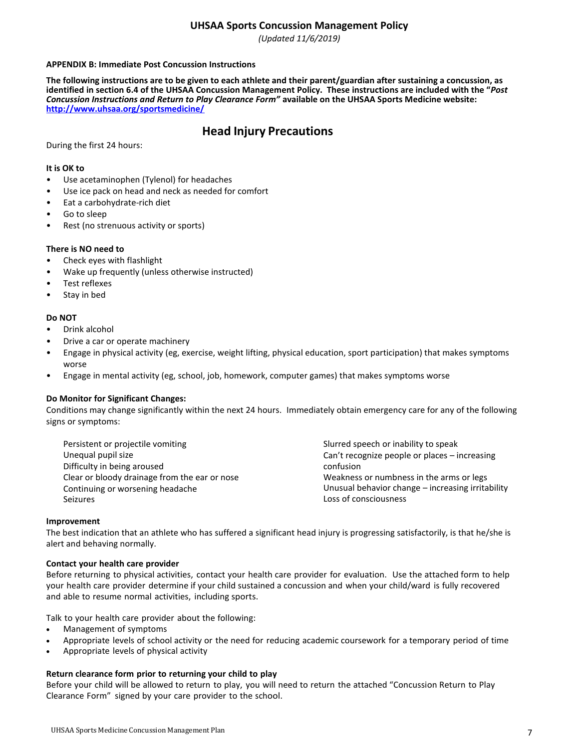*(Updated 11/6/2019)*

#### **APPENDIX B: Immediate Post Concussion Instructions**

**The following instructions are to be given to each athlete and their parent/guardian after sustaining a concussion, as identified in section 6.4 of the UHSAA Concussion Management Policy. These instructions are included with the "***Post Concussion Instructions and Return to Play Clearance Form"* **available on the UHSAA Sports Medicine website: <http://www.uhsaa.org/sportsmedicine/>**

## **Head Injury Precautions**

During the first 24 hours:

#### **It is OK to**

- Use acetaminophen (Tylenol) for headaches
- Use ice pack on head and neck as needed for comfort
- Eat a carbohydrate-rich diet
- Go to sleep
- Rest (no strenuous activity or sports)

#### **There is NO need to**

- Check eyes with flashlight
- Wake up frequently (unless otherwise instructed)
- Test reflexes
- Stay in bed

#### **Do NOT**

- Drink alcohol
- Drive a car or operate machinery
- Engage in physical activity (eg, exercise, weight lifting, physical education, sport participation) that makes symptoms worse
- Engage in mental activity (eg, school, job, homework, computer games) that makes symptoms worse

#### **Do Monitor for Significant Changes:**

Conditions may change significantly within the next 24 hours. Immediately obtain emergency care for any of the following signs or symptoms:

Persistent or projectile vomiting Unequal pupil size Difficulty in being aroused Clear or bloody drainage from the ear or nose Continuing or worsening headache Seizures

Slurred speech or inability to speak Can't recognize people or places – increasing confusion Weakness or numbness in the arms or legs Unusual behavior change – increasing irritability Loss of consciousness

#### **Improvement**

The best indication that an athlete who has suffered a significant head injury is progressing satisfactorily, is that he/she is alert and behaving normally.

#### **Contact your health care provider**

Before returning to physical activities, contact your health care provider for evaluation. Use the attached form to help your health care provider determine if your child sustained a concussion and when your child/ward is fully recovered and able to resume normal activities, including sports.

Talk to your health care provider about the following:

- Management of symptoms
- Appropriate levels of school activity or the need for reducing academic coursework for a temporary period of time
- Appropriate levels of physical activity

#### **Return clearance form prior to returning your child to play**

Before your child will be allowed to return to play, you will need to return the attached "Concussion Return to Play Clearance Form" signed by your care provider to the school.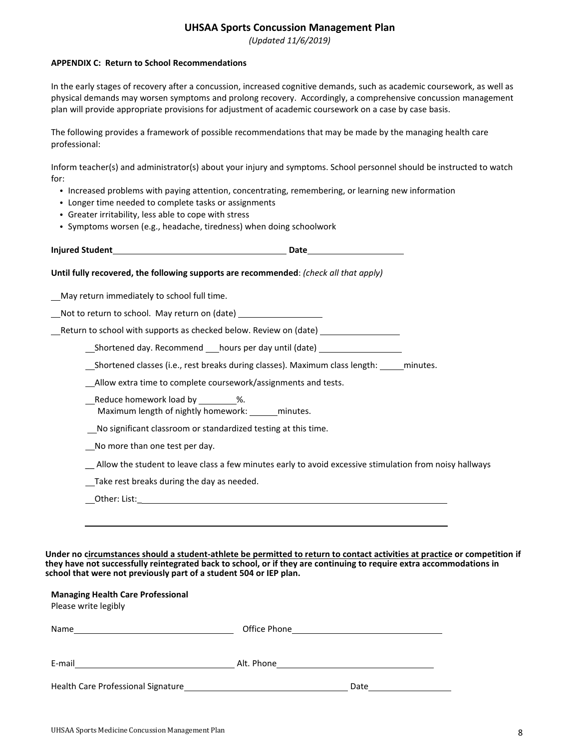*(Updated 11/6/2019)*

#### **APPENDIX C: Return to School Recommendations**

In the early stages of recovery after a concussion, increased cognitive demands, such as academic coursework, as well as physical demands may worsen symptoms and prolong recovery. Accordingly, a comprehensive concussion management plan will provide appropriate provisions for adjustment of academic coursework on a case by case basis.

The following provides a framework of possible recommendations that may be made by the managing health care professional:

Inform teacher(s) and administrator(s) about your injury and symptoms. School personnel should be instructed to watch for:

- Increased problems with paying attention, concentrating, remembering, or learning new information
- Longer time needed to complete tasks or assignments
- Greater irritability, less able to cope with stress
- Symptoms worsen (e.g., headache, tiredness) when doing schoolwork

| <b>Injured Student</b> | Date |  |
|------------------------|------|--|
|                        |      |  |

#### **Until fully recovered, the following supports are recommended**: *(check all that apply)*

May return immediately to school full time.

Not to return to school. May return on (date)

\_\_Return to school with supports as checked below. Review on (date) \_\_\_\_\_\_\_\_\_\_\_\_

\_Shortened day. Recommend \_\_ hours per day until (date) \_\_

Shortened classes (i.e., rest breaks during classes). Maximum class length: minutes.

Allow extra time to complete coursework/assignments and tests.

Reduce homework load by \_\_\_\_\_\_\_\_\_%. Maximum length of nightly homework: \_ minutes.

No significant classroom or standardized testing at this time.

No more than one test per day.

\_\_ Allow the student to leave class a few minutes early to avoid excessive stimulation from noisy hallways

Take rest breaks during the day as needed.

\_\_\_Other: List:\_\_\_\_\_

**Under no circumstances should a student-athlete be permitted to return to contact activities at practice or competition if they have not successfully reintegrated back to school, or if they are continuing to require extra accommodations in school that were not previously part of a student 504 or IEP plan.**

#### **Managing Health Care Professional**

Please write legibly

| Name                               | Office Phone |      |  |
|------------------------------------|--------------|------|--|
| E-mail                             | Alt. Phone   |      |  |
| Health Care Professional Signature |              | Date |  |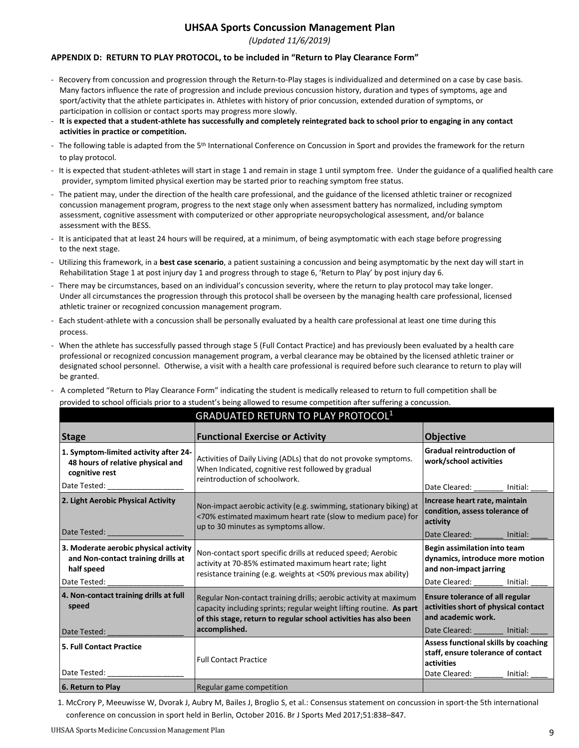*(Updated 11/6/2019)*

#### **APPENDIX D: RETURN TO PLAY PROTOCOL, to be included in "Return to Play Clearance Form"**

- Recovery from concussion and progression through the Return-to-Play stages is individualized and determined on a case by case basis. Many factors influence the rate of progression and include previous concussion history, duration and types of symptoms, age and sport/activity that the athlete participates in. Athletes with history of prior concussion, extended duration of symptoms, or participation in collision or contact sports may progress more slowly.
- **It is expected that a student-athlete has successfully and completely reintegrated back to school prior to engaging in any contact activities in practice or competition.**
- The following table is adapted from the 5<sup>th</sup> International Conference on Concussion in Sport and provides the framework for the return to play protocol.
- ‐ It is expected that student‐athletes will start in stage 1 and remain in stage 1 until symptom free. Under the guidance of a qualified health care provider, symptom limited physical exertion may be started prior to reaching symptom free status.
- ‐ The patient may, under the direction of the health care professional, and the guidance of the licensed athletic trainer or recognized concussion management program, progress to the next stage only when assessment battery has normalized, including symptom assessment, cognitive assessment with computerized or other appropriate neuropsychological assessment, and/or balance assessment with the BESS.
- It is anticipated that at least 24 hours will be required, at a minimum, of being asymptomatic with each stage before progressing to the next stage.
- ‐ Utilizing this framework, in a **best case scenario**, a patient sustaining a concussion and being asymptomatic by the next day will start in Rehabilitation Stage 1 at post injury day 1 and progress through to stage 6, 'Return to Play' by post injury day 6.
- ‐ There may be circumstances, based on an individual's concussion severity, where the return to play protocol may take longer. Under all circumstances the progression through this protocol shall be overseen by the managing health care professional, licensed athletic trainer or recognized concussion management program.
- ‐ Each student‐athlete with a concussion shall be personally evaluated by a health care professional at least one time during this process.
- ‐ When the athlete has successfully passed through stage 5 (Full Contact Practice) and has previously been evaluated by a health care professional or recognized concussion management program, a verbal clearance may be obtained by the licensed athletic trainer or designated school personnel. Otherwise, a visit with a health care professional is required before such clearance to return to play will be granted.

| GRADUATED RETURN TO PLAY PROTOCOL <sup>1</sup>                                                            |                                                                                                                                                                                                                              |                                                                                                                                |  |
|-----------------------------------------------------------------------------------------------------------|------------------------------------------------------------------------------------------------------------------------------------------------------------------------------------------------------------------------------|--------------------------------------------------------------------------------------------------------------------------------|--|
| <b>Stage</b>                                                                                              | <b>Functional Exercise or Activity</b>                                                                                                                                                                                       | <b>Objective</b>                                                                                                               |  |
| 1. Symptom-limited activity after 24-<br>48 hours of relative physical and<br>cognitive rest              | Activities of Daily Living (ADLs) that do not provoke symptoms.<br>When Indicated, cognitive rest followed by gradual<br>reintroduction of schoolwork.                                                                       | <b>Gradual reintroduction of</b><br>work/school activities                                                                     |  |
| Date Tested:                                                                                              |                                                                                                                                                                                                                              | Date Cleared: Initial:                                                                                                         |  |
| 2. Light Aerobic Physical Activity<br>Date Tested: _____________                                          | Non-impact aerobic activity (e.g. swimming, stationary biking) at<br><70% estimated maximum heart rate (slow to medium pace) for<br>up to 30 minutes as symptoms allow.                                                      | Increase heart rate, maintain<br>condition, assess tolerance of<br>activity                                                    |  |
|                                                                                                           |                                                                                                                                                                                                                              | Date Cleared: Initial:                                                                                                         |  |
| 3. Moderate aerobic physical activity<br>and Non-contact training drills at<br>half speed<br>Date Tested: | Non-contact sport specific drills at reduced speed; Aerobic<br>activity at 70-85% estimated maximum heart rate; light<br>resistance training (e.g. weights at <50% previous max ability)                                     | Begin assimilation into team<br>dynamics, introduce more motion<br>and non-impact jarring<br>Date Cleared: Initial:            |  |
| 4. Non-contact training drills at full<br>speed<br>Date Tested:                                           | Regular Non-contact training drills; aerobic activity at maximum<br>capacity including sprints; regular weight lifting routine. As part<br>of this stage, return to regular school activities has also been<br>accomplished. | <b>Ensure tolerance of all regular</b><br>activities short of physical contact<br>and academic work.<br>Date Cleared: Initial: |  |
| <b>5. Full Contact Practice</b>                                                                           |                                                                                                                                                                                                                              | Assess functional skills by coaching<br>staff, ensure tolerance of contact                                                     |  |
|                                                                                                           | <b>Full Contact Practice</b>                                                                                                                                                                                                 | activities                                                                                                                     |  |
| Date Tested:                                                                                              |                                                                                                                                                                                                                              | Date Cleared:<br>Initial:                                                                                                      |  |
| 6. Return to Play                                                                                         | Regular game competition                                                                                                                                                                                                     |                                                                                                                                |  |

‐ A completed "Return to Play Clearance Form" indicating the student is medically released to return to full competition shall be provided to school officials prior to a student's being allowed to resume competition after suffering a concussion.

1. McCrory P, Meeuwisse W, Dvorak J, Aubry M, Bailes J, Broglio S, et al.: Consensus statement on concussion in sport-the 5th international conference on concussion in sport held in Berlin, October 2016. Br J Sports Med 2017;51:838–847.